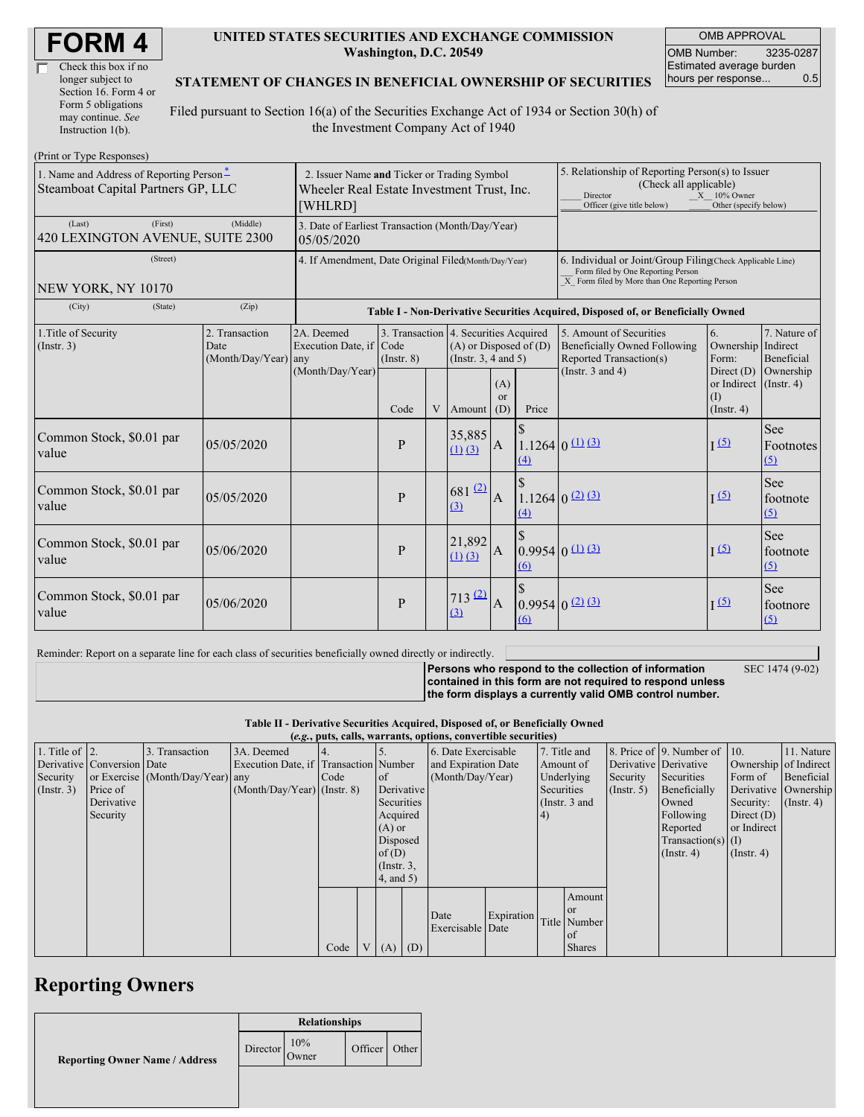| <b>FORM4</b> |
|--------------|
|--------------|

| Check this box if no  |
|-----------------------|
| longer subject to     |
| Section 16. Form 4 or |
| Form 5 obligations    |
| may continue. See     |
| Instruction $1(b)$ .  |

#### **UNITED STATES SECURITIES AND EXCHANGE COMMISSION Washington, D.C. 20549**

OMB APPROVAL OMB Number: 3235-0287 Estimated average burden hours per response... 0.5

#### **STATEMENT OF CHANGES IN BENEFICIAL OWNERSHIP OF SECURITIES**

Filed pursuant to Section 16(a) of the Securities Exchange Act of 1934 or Section 30(h) of the Investment Company Act of 1940

| (Print or Type Responses)                                                         |                                                                                                      |                                                                |                 |   |                                                                                                 |                             |                                                                                                                                                    |                                                                                           |                                                                   |                                   |
|-----------------------------------------------------------------------------------|------------------------------------------------------------------------------------------------------|----------------------------------------------------------------|-----------------|---|-------------------------------------------------------------------------------------------------|-----------------------------|----------------------------------------------------------------------------------------------------------------------------------------------------|-------------------------------------------------------------------------------------------|-------------------------------------------------------------------|-----------------------------------|
| 1. Name and Address of Reporting Person-<br>Steamboat Capital Partners GP, LLC    | 2. Issuer Name and Ticker or Trading Symbol<br>Wheeler Real Estate Investment Trust, Inc.<br>[WHLRD] |                                                                |                 |   |                                                                                                 |                             | 5. Relationship of Reporting Person(s) to Issuer<br>(Check all applicable)<br>Director<br>Officer (give title below)                               | $X = 10\%$ Owner<br>Other (specify below)                                                 |                                                                   |                                   |
| (Last)<br>(First)<br>420 LEXINGTON AVENUE, SUITE 2300                             | (Middle)                                                                                             | 3. Date of Earliest Transaction (Month/Day/Year)<br>05/05/2020 |                 |   |                                                                                                 |                             |                                                                                                                                                    |                                                                                           |                                                                   |                                   |
| (Street)<br>NEW YORK, NY 10170                                                    | 4. If Amendment, Date Original Filed(Month/Day/Year)                                                 |                                                                |                 |   |                                                                                                 |                             | 6. Individual or Joint/Group Filing(Check Applicable Line)<br>Form filed by One Reporting Person<br>X Form filed by More than One Reporting Person |                                                                                           |                                                                   |                                   |
| (City)<br>(State)                                                                 | (Zip)                                                                                                |                                                                |                 |   |                                                                                                 |                             |                                                                                                                                                    | Table I - Non-Derivative Securities Acquired, Disposed of, or Beneficially Owned          |                                                                   |                                   |
| 2. Transaction<br>1. Title of Security<br>(Insert. 3)<br>Date<br>(Month/Day/Year) |                                                                                                      | 2A. Deemed<br>Execution Date, if Code<br>any                   | $($ Instr. $8)$ |   | 3. Transaction 4. Securities Acquired<br>$(A)$ or Disposed of $(D)$<br>(Instr. $3, 4$ and $5$ ) |                             |                                                                                                                                                    | 5. Amount of Securities<br><b>Beneficially Owned Following</b><br>Reported Transaction(s) | 6.<br>Ownership Indirect<br>Form:                                 | 7. Nature of<br><b>Beneficial</b> |
|                                                                                   |                                                                                                      | (Month/Day/Year)                                               | Code            | V | Amount                                                                                          | (A)<br><sub>or</sub><br>(D) | Price                                                                                                                                              | (Instr. $3$ and $4$ )                                                                     | Direct $(D)$<br>or Indirect (Instr. 4)<br>(I)<br>$($ Instr. 4 $)$ | Ownership                         |
| Common Stock, \$0.01 par<br>value                                                 | 05/05/2020                                                                                           |                                                                | P               |   | 35,885<br>$(1)$ $(3)$                                                                           | $\mathbf{A}$                | (4)                                                                                                                                                | $1.1264$ 0 $(1)$ $(3)$                                                                    | $\sqrt{5}$                                                        | See<br>Footnotes<br>(5)           |
| Common Stock, \$0.01 par<br>value                                                 | 05/05/2020                                                                                           |                                                                | P               |   | $681$ <sup>(2)</sup><br>(3)                                                                     | $\overline{A}$              | $\Delta$                                                                                                                                           | $1.1264$ $0^{(2)}$ $(3)$                                                                  | $\sqrt{5}$                                                        | See<br>footnote<br>(5)            |
| Common Stock, \$0.01 par<br>value                                                 | 05/06/2020                                                                                           |                                                                | P               |   | 21,892<br>$(1)$ $(3)$                                                                           | $\mathbf{A}$                | \$<br>(6)                                                                                                                                          | $0.9954 0 \text{ (1)}$ (3)                                                                | I(5)                                                              | See<br>footnote<br>(5)            |
| Common Stock, \$0.01 par<br>value                                                 | 05/06/2020                                                                                           |                                                                | P               |   | 713 (2)<br>(3)                                                                                  | А                           | (6)                                                                                                                                                | $0.9954$ $0$ $(2)$ $(3)$                                                                  | $\overline{1}$ (5)                                                | See<br>footnore<br>(5)            |

Reminder: Report on a separate line for each class of securities beneficially owned directly or indirectly.

SEC 1474 (9-02)

**Persons who respond to the collection of information contained in this form are not required to respond unless the form displays a currently valid OMB control number.**

**Table II - Derivative Securities Acquired, Disposed of, or Beneficially Owned**

|                        | (e.g., puts, calls, warrants, options, convertible securities) |                                  |                                       |      |  |                 |  |                          |            |            |               |                       |                              |                       |                  |
|------------------------|----------------------------------------------------------------|----------------------------------|---------------------------------------|------|--|-----------------|--|--------------------------|------------|------------|---------------|-----------------------|------------------------------|-----------------------|------------------|
| 1. Title of $\vert$ 2. |                                                                | 3. Transaction                   | 3A. Deemed                            |      |  |                 |  | 6. Date Exercisable      |            |            | 7. Title and  |                       | 8. Price of 9. Number of 10. |                       | 11. Nature       |
|                        | Derivative Conversion Date                                     |                                  | Execution Date, if Transaction Number |      |  |                 |  | and Expiration Date      |            | Amount of  |               | Derivative Derivative |                              | Ownership of Indirect |                  |
| Security               |                                                                | or Exercise (Month/Day/Year) any |                                       | Code |  | of              |  | (Month/Day/Year)         |            |            | Underlying    | Security              | Securities                   | Form of               | Beneficial       |
| $($ Instr. 3 $)$       | Price of                                                       |                                  | $(Month/Day/Year)$ (Instr. 8)         |      |  | Derivative      |  |                          |            | Securities |               | $($ Instr. 5 $)$      | Beneficially                 | Derivative Ownership  |                  |
|                        | Derivative                                                     |                                  |                                       |      |  | Securities      |  |                          |            |            | (Instr. 3 and |                       | Owned                        | Security:             | $($ Instr. 4 $)$ |
|                        | Security                                                       |                                  |                                       |      |  | Acquired        |  |                          |            | 4)         |               |                       | Following                    | Direct $(D)$          |                  |
|                        |                                                                |                                  |                                       |      |  | $(A)$ or        |  |                          |            |            |               |                       | Reported                     | or Indirect           |                  |
|                        |                                                                |                                  |                                       |      |  | Disposed        |  |                          |            |            |               |                       | Transaction(s) $(I)$         |                       |                  |
|                        |                                                                |                                  |                                       |      |  | of $(D)$        |  |                          |            |            |               |                       | $($ Instr. 4 $)$             | $($ Instr. 4 $)$      |                  |
|                        |                                                                |                                  |                                       |      |  | $($ Instr. 3,   |  |                          |            |            |               |                       |                              |                       |                  |
|                        |                                                                |                                  |                                       |      |  | $4$ , and $5$ ) |  |                          |            |            |               |                       |                              |                       |                  |
|                        |                                                                |                                  |                                       |      |  |                 |  |                          |            |            | Amount        |                       |                              |                       |                  |
|                        |                                                                |                                  |                                       |      |  |                 |  |                          |            |            | l or          |                       |                              |                       |                  |
|                        |                                                                |                                  |                                       |      |  |                 |  | Date<br>Exercisable Date | Expiration |            | Title Number  |                       |                              |                       |                  |
|                        |                                                                |                                  |                                       |      |  |                 |  |                          |            |            | l of          |                       |                              |                       |                  |
|                        |                                                                |                                  |                                       | Code |  | $V(A)$ (D)      |  |                          |            |            | <b>Shares</b> |                       |                              |                       |                  |

## **Reporting Owners**

|                                       | <b>Relationships</b> |              |         |       |  |  |  |
|---------------------------------------|----------------------|--------------|---------|-------|--|--|--|
| <b>Reporting Owner Name / Address</b> | Director             | 10%<br>Owner | Officer | Other |  |  |  |
|                                       |                      |              |         |       |  |  |  |